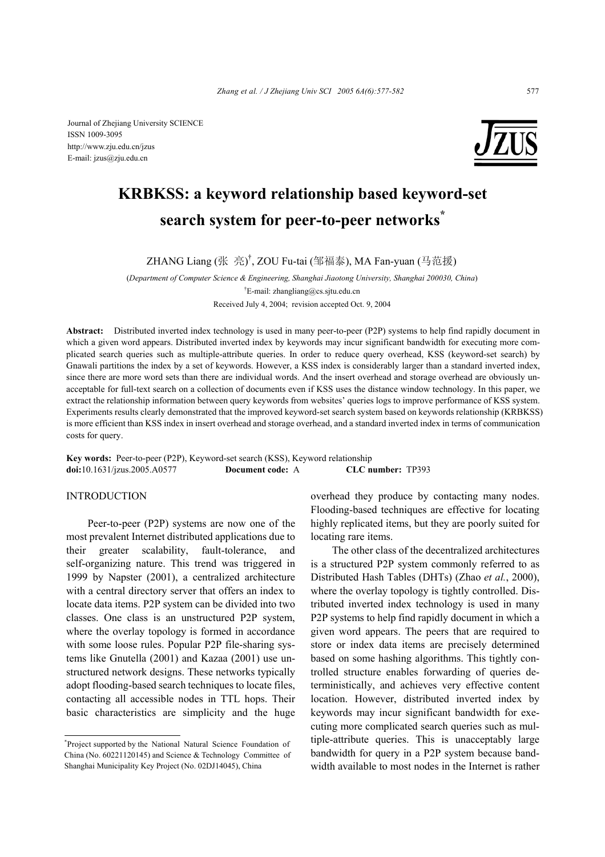Journal of Zhejiang University SCIENCE ISSN 1009-3095 http://www.zju.edu.cn/jzus E-mail: jzus@zju.edu.cn



# **KRBKSS: a keyword relationship based keyword-set search system for peer-to-peer networks\***

ZHANG Liang (张 亮)<sup>†</sup>, ZOU Fu-tai (邹福泰), MA Fan-yuan (马范援)

(*Department of Computer Science & Engineering, Shanghai Jiaotong University, Shanghai 200030, China*) † E-mail: zhangliang@cs.sjtu.edu.cn Received July 4, 2004; revision accepted Oct. 9, 2004

**Abstract:** Distributed inverted index technology is used in many peer-to-peer (P2P) systems to help find rapidly document in which a given word appears. Distributed inverted index by keywords may incur significant bandwidth for executing more complicated search queries such as multiple-attribute queries. In order to reduce query overhead, KSS (keyword-set search) by Gnawali partitions the index by a set of keywords. However, a KSS index is considerably larger than a standard inverted index, since there are more word sets than there are individual words. And the insert overhead and storage overhead are obviously unacceptable for full-text search on a collection of documents even if KSS uses the distance window technology. In this paper, we extract the relationship information between query keywords from websites' queries logs to improve performance of KSS system. Experiments results clearly demonstrated that the improved keyword-set search system based on keywords relationship (KRBKSS) is more efficient than KSS index in insert overhead and storage overhead, and a standard inverted index in terms of communication costs for query.

**Key words:** Peer-to-peer (P2P), Keyword-set search (KSS), Keyword relationship **doi:**10.1631/jzus.2005.A0577 **Document code:** A **CLC number:** TP393

## INTRODUCTION

Peer-to-peer (P2P) systems are now one of the most prevalent Internet distributed applications due to their greater scalability, fault-tolerance, and self-organizing nature. This trend was triggered in 1999 by Napster (2001), a centralized architecture with a central directory server that offers an index to locate data items. P2P system can be divided into two classes. One class is an unstructured P2P system, where the overlay topology is formed in accordance with some loose rules. Popular P2P file-sharing systems like Gnutella (2001) and Kazaa (2001) use unstructured network designs. These networks typically adopt flooding-based search techniques to locate files, contacting all accessible nodes in TTL hops. Their basic characteristics are simplicity and the huge overhead they produce by contacting many nodes. Flooding-based techniques are effective for locating highly replicated items, but they are poorly suited for locating rare items.

The other class of the decentralized architectures is a structured P2P system commonly referred to as Distributed Hash Tables (DHTs) (Zhao *et al.*, 2000), where the overlay topology is tightly controlled. Distributed inverted index technology is used in many P2P systems to help find rapidly document in which a given word appears. The peers that are required to store or index data items are precisely determined based on some hashing algorithms. This tightly controlled structure enables forwarding of queries deterministically, and achieves very effective content location. However, distributed inverted index by keywords may incur significant bandwidth for executing more complicated search queries such as multiple-attribute queries. This is unacceptably large bandwidth for query in a P2P system because bandwidth available to most nodes in the Internet is rather

<sup>\*</sup> Project supported by the National Natural Science Foundation of China (No. 60221120145) and Science & Technology Committee of Shanghai Municipality Key Project (No. 02DJ14045), China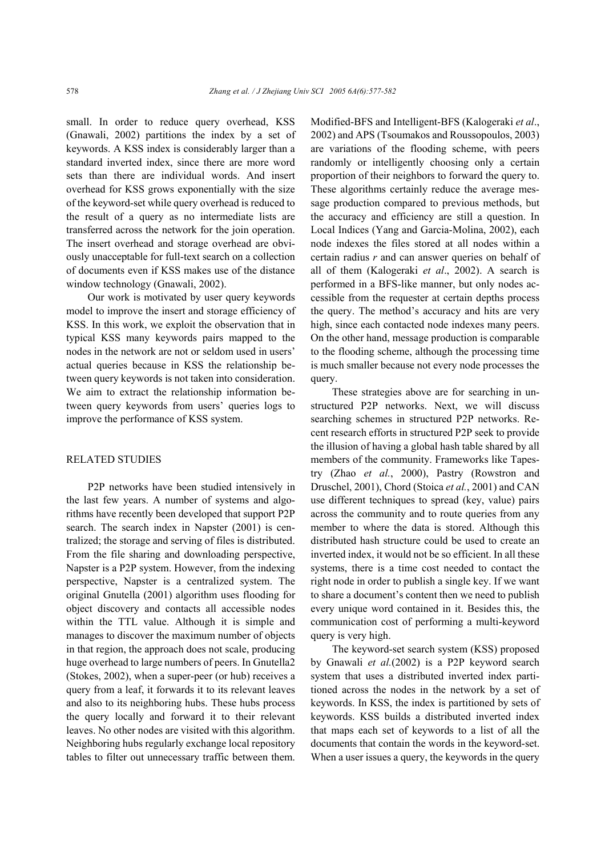small. In order to reduce query overhead, KSS (Gnawali, 2002) partitions the index by a set of keywords. A KSS index is considerably larger than a standard inverted index, since there are more word sets than there are individual words. And insert overhead for KSS grows exponentially with the size of the keyword-set while query overhead is reduced to the result of a query as no intermediate lists are transferred across the network for the join operation. The insert overhead and storage overhead are obviously unacceptable for full-text search on a collection of documents even if KSS makes use of the distance window technology (Gnawali, 2002).

Our work is motivated by user query keywords model to improve the insert and storage efficiency of KSS. In this work, we exploit the observation that in typical KSS many keywords pairs mapped to the nodes in the network are not or seldom used in users' actual queries because in KSS the relationship between query keywords is not taken into consideration. We aim to extract the relationship information between query keywords from users' queries logs to improve the performance of KSS system.

#### RELATED STUDIES

P2P networks have been studied intensively in the last few years. A number of systems and algorithms have recently been developed that support P2P search. The search index in Napster (2001) is centralized; the storage and serving of files is distributed. From the file sharing and downloading perspective, Napster is a P2P system. However, from the indexing perspective, Napster is a centralized system. The original Gnutella (2001) algorithm uses flooding for object discovery and contacts all accessible nodes within the TTL value. Although it is simple and manages to discover the maximum number of objects in that region, the approach does not scale, producing huge overhead to large numbers of peers. In Gnutella2 (Stokes, 2002), when a super-peer (or hub) receives a query from a leaf, it forwards it to its relevant leaves and also to its neighboring hubs. These hubs process the query locally and forward it to their relevant leaves. No other nodes are visited with this algorithm. Neighboring hubs regularly exchange local repository tables to filter out unnecessary traffic between them.

Modified-BFS and Intelligent-BFS (Kalogeraki *et al*., 2002) and APS (Tsoumakos and Roussopoulos, 2003) are variations of the flooding scheme, with peers randomly or intelligently choosing only a certain proportion of their neighbors to forward the query to. These algorithms certainly reduce the average message production compared to previous methods, but the accuracy and efficiency are still a question. In Local Indices (Yang and Garcia-Molina, 2002), each node indexes the files stored at all nodes within a certain radius *r* and can answer queries on behalf of all of them (Kalogeraki *et al*., 2002). A search is performed in a BFS-like manner, but only nodes accessible from the requester at certain depths process the query. The method's accuracy and hits are very high, since each contacted node indexes many peers. On the other hand, message production is comparable to the flooding scheme, although the processing time is much smaller because not every node processes the query.

These strategies above are for searching in unstructured P2P networks. Next, we will discuss searching schemes in structured P2P networks. Recent research efforts in structured P2P seek to provide the illusion of having a global hash table shared by all members of the community. Frameworks like Tapestry (Zhao *et al.*, 2000), Pastry (Rowstron and Druschel, 2001), Chord (Stoica *et al.*, 2001) and CAN use different techniques to spread (key, value) pairs across the community and to route queries from any member to where the data is stored. Although this distributed hash structure could be used to create an inverted index, it would not be so efficient. In all these systems, there is a time cost needed to contact the right node in order to publish a single key. If we want to share a document's content then we need to publish every unique word contained in it. Besides this, the communication cost of performing a multi-keyword query is very high.

The keyword-set search system (KSS) proposed by Gnawali *et al.*(2002) is a P2P keyword search system that uses a distributed inverted index partitioned across the nodes in the network by a set of keywords. In KSS, the index is partitioned by sets of keywords. KSS builds a distributed inverted index that maps each set of keywords to a list of all the documents that contain the words in the keyword-set. When a user issues a query, the keywords in the query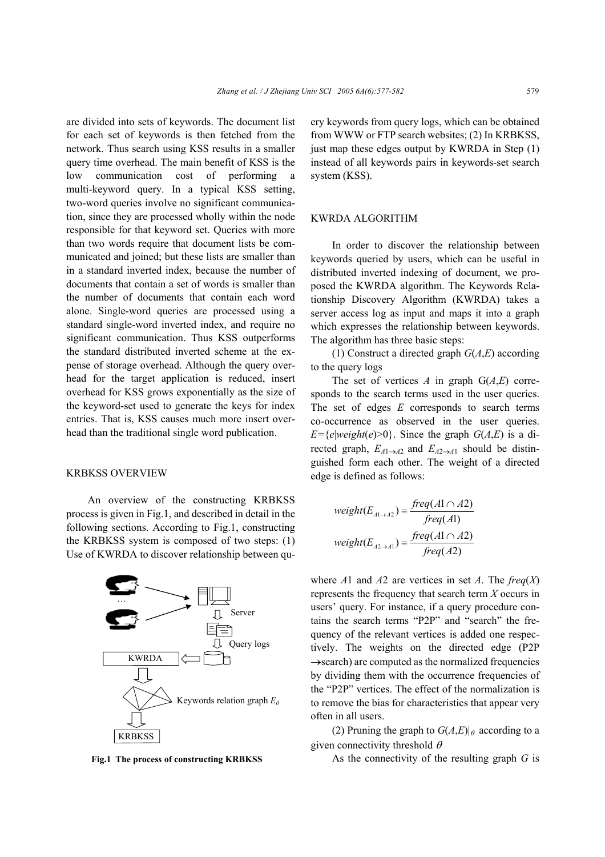are divided into sets of keywords. The document list for each set of keywords is then fetched from the network. Thus search using KSS results in a smaller query time overhead. The main benefit of KSS is the low communication cost of performing a multi-keyword query. In a typical KSS setting, two-word queries involve no significant communication, since they are processed wholly within the node responsible for that keyword set. Queries with more than two words require that document lists be communicated and joined; but these lists are smaller than in a standard inverted index, because the number of documents that contain a set of words is smaller than the number of documents that contain each word alone. Single-word queries are processed using a standard single-word inverted index, and require no significant communication. Thus KSS outperforms the standard distributed inverted scheme at the expense of storage overhead. Although the query overhead for the target application is reduced, insert overhead for KSS grows exponentially as the size of the keyword-set used to generate the keys for index entries. That is, KSS causes much more insert overhead than the traditional single word publication.

## KRBKSS OVERVIEW

An overview of the constructing KRBKSS process is given in Fig.1, and described in detail in the following sections. According to Fig.1, constructing the KRBKSS system is composed of two steps: (1) Use of KWRDA to discover relationship between qu-



ery keywords from query logs, which can be obtained from WWW or FTP search websites; (2) In KRBKSS, just map these edges output by KWRDA in Step (1) instead of all keywords pairs in keywords-set search system (KSS).

## KWRDA ALGORITHM

In order to discover the relationship between keywords queried by users, which can be useful in distributed inverted indexing of document, we proposed the KWRDA algorithm. The Keywords Relationship Discovery Algorithm (KWRDA) takes a server access log as input and maps it into a graph which expresses the relationship between keywords. The algorithm has three basic steps:

(1) Construct a directed graph *G*(*A*,*E*) according to the query logs

The set of vertices *A* in graph  $G(A,E)$  corresponds to the search terms used in the user queries. The set of edges *E* corresponds to search terms co-occurrence as observed in the user queries. *E*={*e*|*weight*(*e*)>0}. Since the graph *G*(*A*,*E*) is a directed graph,  $E_{A1\rightarrow A2}$  and  $E_{A2\rightarrow A1}$  should be distinguished form each other. The weight of a directed edge is defined as follows:

$$
weight(E_{A \rightarrow A2}) = \frac{freq(A1 \cap A2)}{freq(A1)}
$$

$$
weight(E_{A2 \rightarrow A1}) = \frac{freq(A1 \cap A2)}{freq(A2)}
$$

where *A*1 and *A*2 are vertices in set *A*. The *freq*(*X*) represents the frequency that search term *X* occurs in users' query. For instance, if a query procedure contains the search terms "P2P" and "search" the frequency of the relevant vertices is added one respectively. The weights on the directed edge (P2P  $\rightarrow$ search) are computed as the normalized frequencies by dividing them with the occurrence frequencies of the "P2P" vertices. The effect of the normalization is to remove the bias for characteristics that appear very often in all users.

(2) Pruning the graph to  $G(A,E)|_\theta$  according to a given connectivity threshold  $\theta$ 

**Fig.1** The process of constructing KRBKSS As the connectivity of the resulting graph *G* is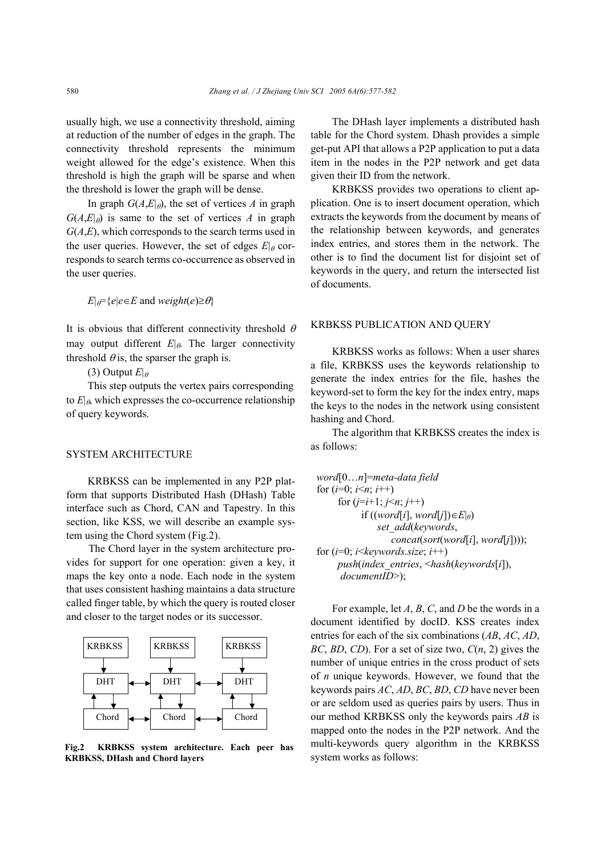usually high, we use a connectivity threshold, aiming at reduction of the number of edges in the graph. The connectivity threshold represents the minimum weight allowed for the edge's existence. When this threshold is high the graph will be sparse and when the threshold is lower the graph will be dense.

In graph  $G(A,E|\theta)$ , the set of vertices *A* in graph  $G(A,E|_{\theta})$  is same to the set of vertices *A* in graph *G*(*A*,*E*), which corresponds to the search terms used in the user queries. However, the set of edges  $E|_{\theta}$  corresponds to search terms co-occurrence as observed in the user queries.

 $E|_{\theta} = \{e | e \in E \text{ and } weight(e) \geq \theta\}$ 

It is obvious that different connectivity threshold  $\theta$ may output different  $E|_{\theta}$ . The larger connectivity threshold  $\theta$  is, the sparser the graph is.

(3) Output  $E|_{\theta}$ 

This step outputs the vertex pairs corresponding to  $E|_{\theta}$ , which expresses the co-occurrence relationship of query keywords.

#### SYSTEM ARCHITECTURE

KRBKSS can be implemented in any P2P platform that supports Distributed Hash (DHash) Table interface such as Chord, CAN and Tapestry. In this section, like KSS, we will describe an example system using the Chord system (Fig.2).

The Chord layer in the system architecture provides for support for one operation: given a key, it maps the key onto a node. Each node in the system that uses consistent hashing maintains a data structure called finger table, by which the query is routed closer and closer to the target nodes or its successor.



**Fig.2 KRBKSS system architecture. Each peer has KRBKSS, DHash and Chord layers** 

The DHash layer implements a distributed hash table for the Chord system. Dhash provides a simple get-put API that allows a P2P application to put a data item in the nodes in the P2P network and get data given their ID from the network.

KRBKSS provides two operations to client application. One is to insert document operation, which extracts the keywords from the document by means of the relationship between keywords, and generates index entries, and stores them in the network. The other is to find the document list for disjoint set of keywords in the query, and return the intersected list of documents.

# KRBKSS PUBLICATION AND QUERY

KRBKSS works as follows: When a user shares a file, KRBKSS uses the keywords relationship to generate the index entries for the file, hashes the keyword-set to form the key for the index entry, maps the keys to the nodes in the network using consistent hashing and Chord.

The algorithm that KRBKSS creates the index is as follows:

```
word[0…n]=meta-data field
for (i=0; i \leq n; i++)for (j=i+1; j<n; j++)
           if ((word[i], word[j])∈E|θ) 
               set_add(keywords, 
                  concat(sort(word[i], word[j])));
for (i=0; i \leq keywords.size; i^{++})
     push(index_entries, <hash(keywords[i]),
      documentID>);
```
For example, let *A*, *B*, *C*, and *D* be the words in a document identified by docID. KSS creates index entries for each of the six combinations (*AB*, *AC*, *AD*, *BC*, *BD*, *CD*). For a set of size two, *C*(*n*, 2) gives the number of unique entries in the cross product of sets of *n* unique keywords. However, we found that the keywords pairs *AC*, *AD*, *BC*, *BD*, *CD* have never been or are seldom used as queries pairs by users. Thus in our method KRBKSS only the keywords pairs *AB* is mapped onto the nodes in the P2P network. And the multi-keywords query algorithm in the KRBKSS system works as follows: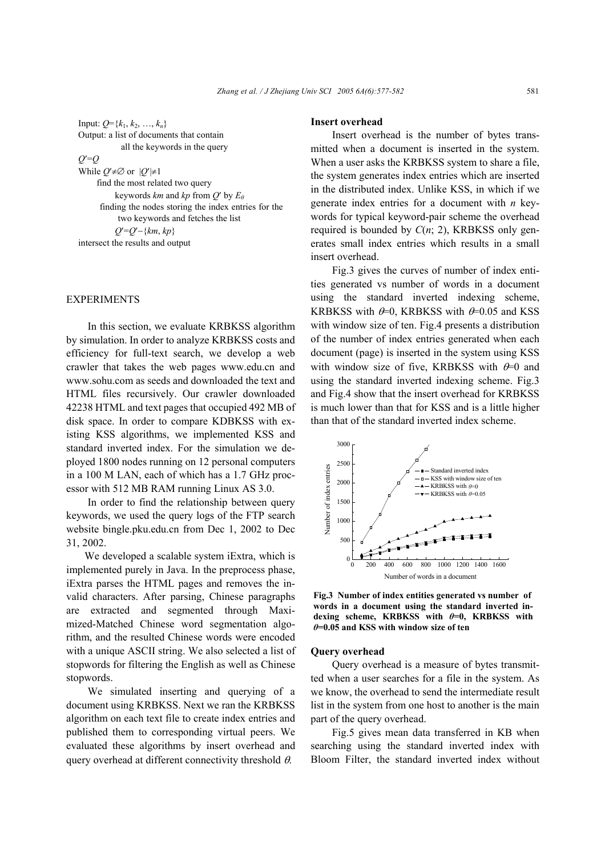Input:  $Q = \{k_1, k_2, ..., k_n\}$ Output: a list of documents that contain

all the keywords in the query

*Q*′=*Q*

While  $Q' \neq \emptyset$  or  $|Q'| \neq 1$ 

find the most related two query keywords *km* and *kp* from *Q*′ by *E<sup>θ</sup>*

```
finding the nodes storing the index entries for the
    two keywords and fetches the list
```
*Q*′=*Q*′−{*km*, *kp*}

intersect the results and output

## EXPERIMENTS

In this section, we evaluate KRBKSS algorithm by simulation. In order to analyze KRBKSS costs and efficiency for full-text search, we develop a web crawler that takes the web pages www.edu.cn and www.sohu.com as seeds and downloaded the text and HTML files recursively. Our crawler downloaded 42238 HTML and text pages that occupied 492 MB of disk space. In order to compare KDBKSS with existing KSS algorithms, we implemented KSS and standard inverted index. For the simulation we deployed 1800 nodes running on 12 personal computers in a 100 M LAN, each of which has a 1.7 GHz processor with 512 MB RAM running Linux AS 3.0.

In order to find the relationship between query keywords, we used the query logs of the FTP search website bingle.pku.edu.cn from Dec 1, 2002 to Dec 31, 2002.

We developed a scalable system iExtra, which is implemented purely in Java. In the preprocess phase, iExtra parses the HTML pages and removes the invalid characters. After parsing, Chinese paragraphs are extracted and segmented through Maximized-Matched Chinese word segmentation algorithm, and the resulted Chinese words were encoded with a unique ASCII string. We also selected a list of stopwords for filtering the English as well as Chinese stopwords.

We simulated inserting and querying of a document using KRBKSS. Next we ran the KRBKSS algorithm on each text file to create index entries and published them to corresponding virtual peers. We evaluated these algorithms by insert overhead and query overhead at different connectivity threshold  $\theta$ .

## **Insert overhead**

Insert overhead is the number of bytes transmitted when a document is inserted in the system. When a user asks the KRBKSS system to share a file, the system generates index entries which are inserted in the distributed index. Unlike KSS, in which if we generate index entries for a document with *n* keywords for typical keyword-pair scheme the overhead required is bounded by *C*(*n*; 2), KRBKSS only generates small index entries which results in a small insert overhead.

Fig.3 gives the curves of number of index entities generated vs number of words in a document using the standard inverted indexing scheme, KRBKSS with  $\theta$ =0, KRBKSS with  $\theta$ =0.05 and KSS with window size of ten. Fig.4 presents a distribution of the number of index entries generated when each document (page) is inserted in the system using KSS with window size of five, KRBKSS with  $\theta$ =0 and using the standard inverted indexing scheme. Fig.3 and Fig.4 show that the insert overhead for KRBKSS is much lower than that for KSS and is a little higher than that of the standard inverted index scheme.



**Fig.3 Number of index entities generated vs number of words in a document using the standard inverted indexing scheme, KRBKSS with** *θ***=0, KRBKSS with** *θ***=0.05 and KSS with window size of ten** 

## **Query overhead**

Query overhead is a measure of bytes transmitted when a user searches for a file in the system. As we know, the overhead to send the intermediate result list in the system from one host to another is the main part of the query overhead.

Fig.5 gives mean data transferred in KB when searching using the standard inverted index with Bloom Filter, the standard inverted index without